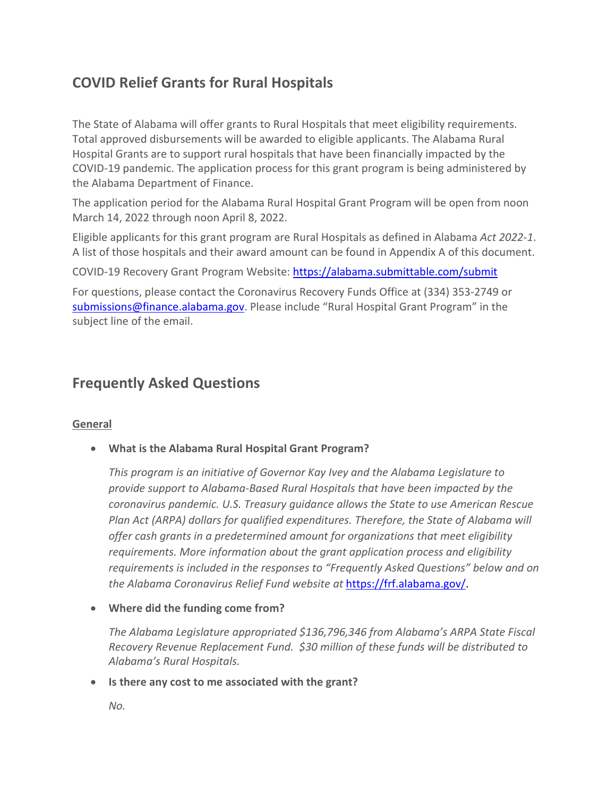# **COVID Relief Grants for Rural Hospitals**

The State of Alabama will offer grants to Rural Hospitals that meet eligibility requirements. Total approved disbursements will be awarded to eligible applicants. The Alabama Rural Hospital Grants are to support rural hospitals that have been financially impacted by the COVID-19 pandemic. The application process for this grant program is being administered by the Alabama Department of Finance.

The application period for the Alabama Rural Hospital Grant Program will be open from noon March 14, 2022 through noon April 8, 2022.

Eligible applicants for this grant program are Rural Hospitals as defined in Alabama *Act 2022-1*. A list of those hospitals and their award amount can be found in Appendix A of this document.

COVID-19 Recovery Grant Program Website:<https://alabama.submittable.com/submit>

For questions, please contact the Coronavirus Recovery Funds Office at (334) 353-2749 or [submissions@finance.alabama.gov.](mailto:submissions@finance.alabama.gov) Please include "Rural Hospital Grant Program" in the subject line of the email.

# **Frequently Asked Questions**

# **General**

• **What is the Alabama Rural Hospital Grant Program?**

*This program is an initiative of Governor Kay Ivey and the Alabama Legislature to provide support to Alabama-Based Rural Hospitals that have been impacted by the coronavirus pandemic. U.S. Treasury guidance allows the State to use American Rescue Plan Act (ARPA) dollars for qualified expenditures. Therefore, the State of Alabama will offer cash grants in a predetermined amount for organizations that meet eligibility requirements. More information about the grant application process and eligibility requirements is included in the responses to "Frequently Asked Questions" below and on the Alabama Coronavirus Relief Fund website at* [https://frf.alabama.gov/.](https://frf.alabama.gov/)

• **Where did the funding come from?**

*The Alabama Legislature appropriated \$136,796,346 from Alabama's ARPA State Fiscal Recovery Revenue Replacement Fund. \$30 million of these funds will be distributed to Alabama's Rural Hospitals.*

• **Is there any cost to me associated with the grant?**

*No.*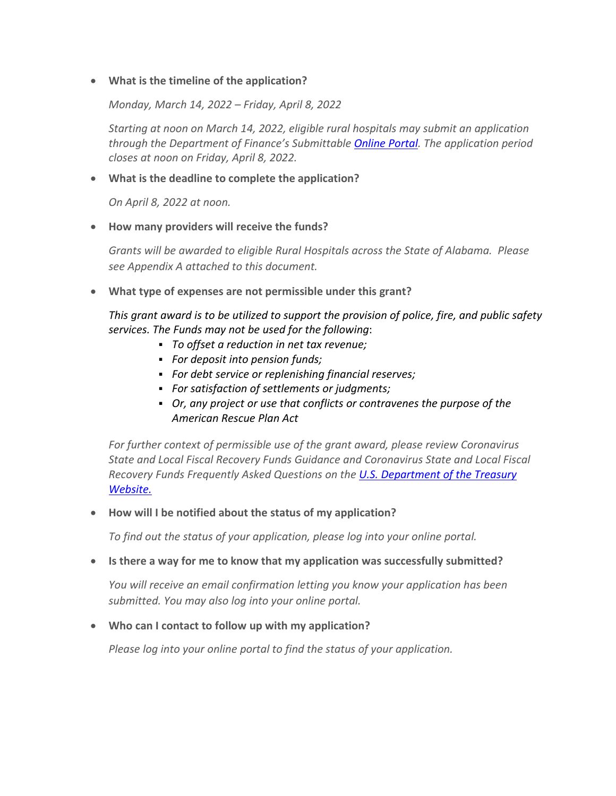# • **What is the timeline of the application?**

*Monday, March 14, 2022 – Friday, April 8, 2022*

*Starting at noon on March 14, 2022, eligible rural hospitals may submit an application through the Department of Finance's Submittable [Online Portal.](https://alabama.submittable.com/submit) The application period closes at noon on Friday, April 8, 2022.*

# • **What is the deadline to complete the application?**

*On April 8, 2022 at noon.*

# • **How many providers will receive the funds?**

*Grants will be awarded to eligible Rural Hospitals across the State of Alabama. Please see Appendix A attached to this document.*

• **What type of expenses are not permissible under this grant?**

*This grant award is to be utilized to support the provision of police, fire, and public safety services. The Funds may not be used for the following*:

- *To offset a reduction in net tax revenue;*
- *For deposit into pension funds;*
- *For debt service or replenishing financial reserves;*
- *For satisfaction of settlements or judgments;*
- *Or, any project or use that conflicts or contravenes the purpose of the American Rescue Plan Act*

*For further context of permissible use of the grant award, please review Coronavirus State and Local Fiscal Recovery Funds Guidance and Coronavirus State and Local Fiscal Recovery Funds Frequently Asked Questions on the [U.S. Department of the Treasury](https://home.treasury.gov/policy-issues/cares/state-and-local-governments)  [Website.](https://home.treasury.gov/policy-issues/cares/state-and-local-governments)* 

#### • **How will I be notified about the status of my application?**

*To find out the status of your application, please log into your online portal.*

### • **Is there a way for me to know that my application was successfully submitted?**

*You will receive an email confirmation letting you know your application has been submitted. You may also log into your online portal.*

#### • **Who can I contact to follow up with my application?**

*Please log into your online portal to find the status of your application.*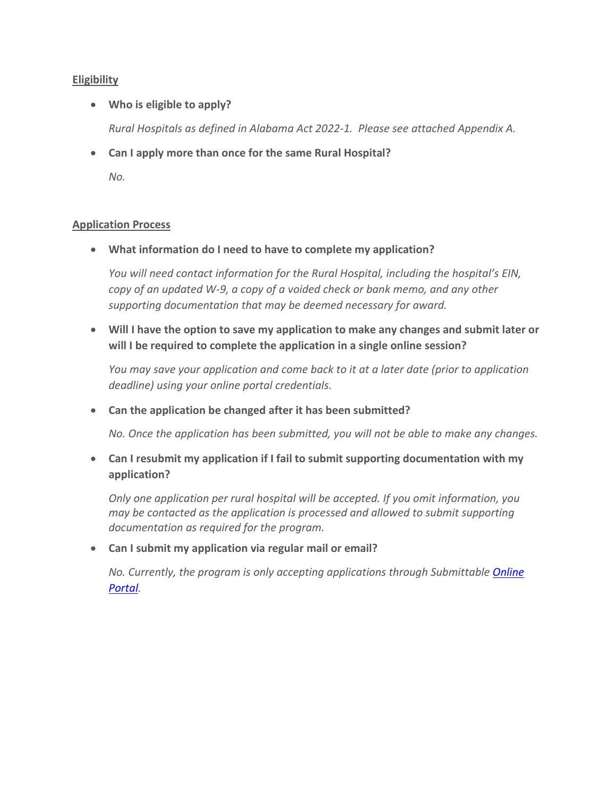# **Eligibility**

• **Who is eligible to apply?**

*Rural Hospitals as defined in Alabama Act 2022-1. Please see attached Appendix A.*

• **Can I apply more than once for the same Rural Hospital?** *No.*

#### **Application Process**

• **What information do I need to have to complete my application?**

*You will need contact information for the Rural Hospital, including the hospital's EIN, copy of an updated W-9, a copy of a voided check or bank memo, and any other supporting documentation that may be deemed necessary for award.*

• **Will I have the option to save my application to make any changes and submit later or will I be required to complete the application in a single online session?**

*You may save your application and come back to it at a later date (prior to application deadline) using your online portal credentials.*

• **Can the application be changed after it has been submitted?**

*No. Once the application has been submitted, you will not be able to make any changes.*

• **Can I resubmit my application if I fail to submit supporting documentation with my application?**

*Only one application per rural hospital will be accepted. If you omit information, you may be contacted as the application is processed and allowed to submit supporting documentation as required for the program.*

• **Can I submit my application via regular mail or email?**

*No. Currently, the program is only accepting applications through Submittable [Online](https://alabama.submittable.com/submit)  [Portal.](https://alabama.submittable.com/submit)*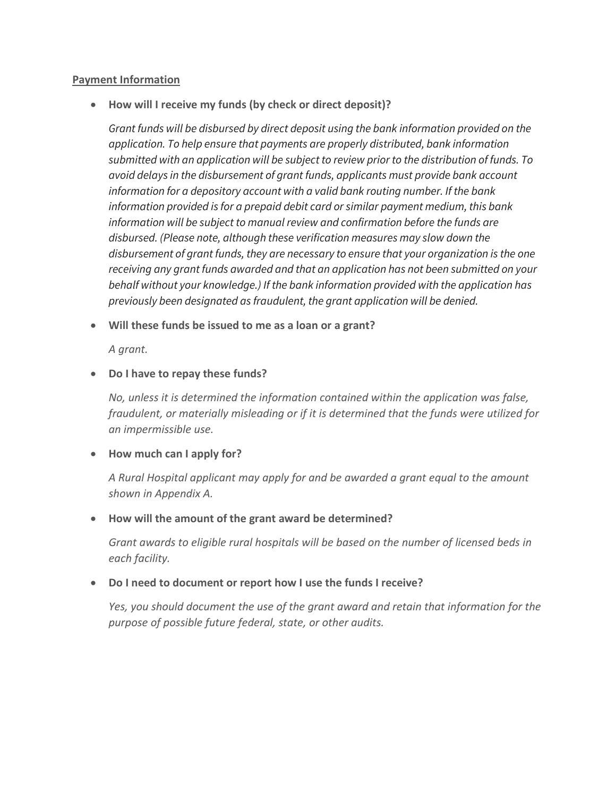### **Payment Information**

• **How will I receive my funds (by check or direct deposit)?**

*Grant funds will be disbursed by direct deposit using the bank information provided on the application. To help ensure that payments are properly distributed, bank information submitted with an application will be subject to review prior to the distribution of funds. To avoid delays in the disbursement of grant funds, applicants must provide bank account information for a depository account with a valid bank routing number. If the bank information provided is for a prepaid debit card or similar payment medium, this bank information will be subject to manual review and confirmation before the funds are disbursed. (Please note, although these verification measures may slow down the disbursement of grant funds, they are necessary to ensure that your organization is the one receiving any grant funds awarded and that an application has not been submitted on your behalf without your knowledge.) If the bank information provided with the application has previously been designated as fraudulent, the grant application will be denied.*

• **Will these funds be issued to me as a loan or a grant?**

*A grant.*

# • **Do I have to repay these funds?**

*No, unless it is determined the information contained within the application was false, fraudulent, or materially misleading or if it is determined that the funds were utilized for an impermissible use.*

#### • **How much can I apply for?**

*A Rural Hospital applicant may apply for and be awarded a grant equal to the amount shown in Appendix A.*

# • **How will the amount of the grant award be determined?**

*Grant awards to eligible rural hospitals will be based on the number of licensed beds in each facility.* 

# • **Do I need to document or report how I use the funds I receive?**

*Yes, you should document the use of the grant award and retain that information for the purpose of possible future federal, state, or other audits.*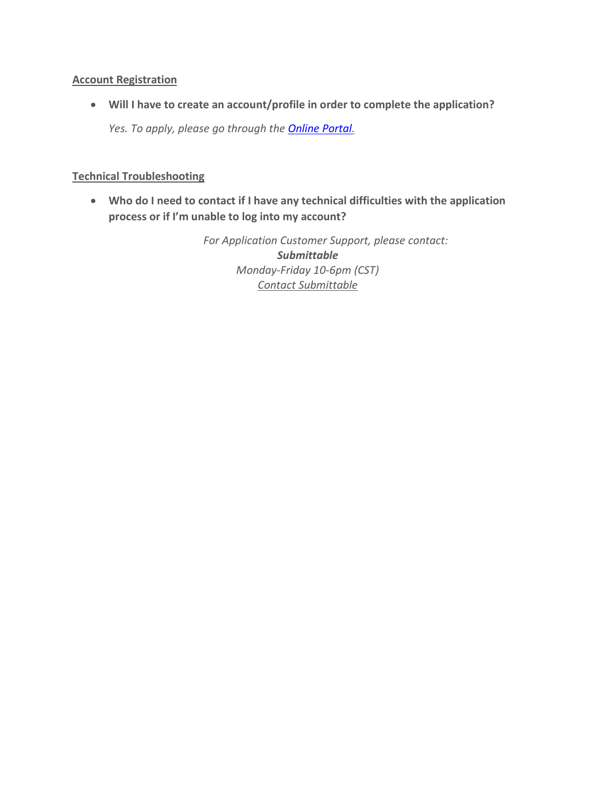# **Account Registration**

• **Will I have to create an account/profile in order to complete the application?** *Yes. To apply, please go through the [Online Portal.](https://alabama.submittable.com/submit)*

# **Technical Troubleshooting**

• **Who do I need to contact if I have any technical difficulties with the application process or if I'm unable to log into my account?**

> *For Application Customer Support, please contact: Submittable Monday-Friday 10-6pm (CST) Contact Submittable*